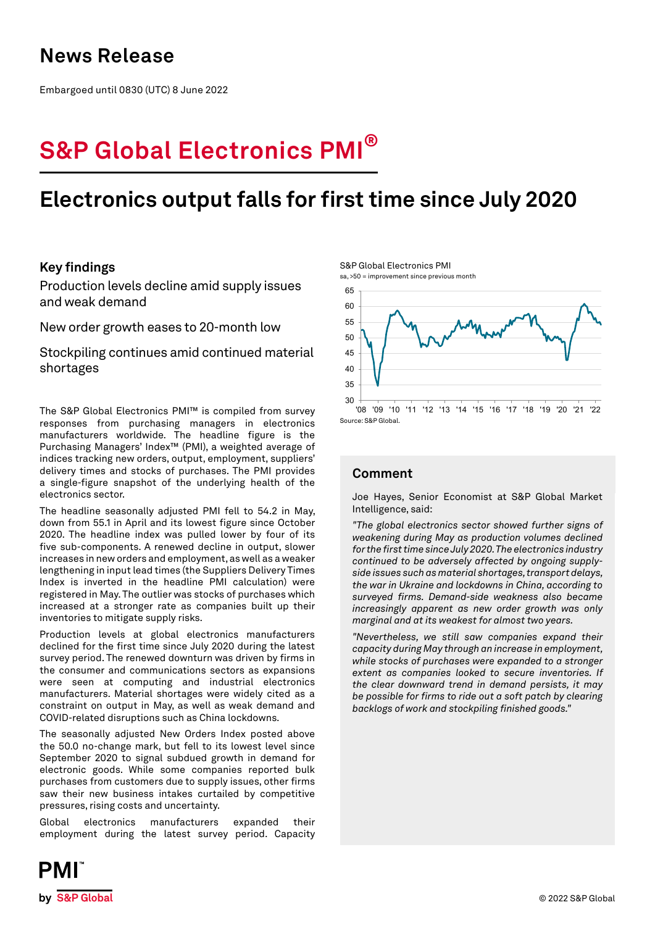## **News Release**

Embargoed until 0830 (UTC) 8 June 2022

# **S&P Global Electronics PMI®**

## **Electronics output falls for first time since July 2020**

## **Key findings**

Production levels decline amid supply issues and weak demand

New order growth eases to 20-month low

Stockpiling continues amid continued material shortages

The S&P Global Electronics PMI™ is compiled from survey responses from purchasing managers in electronics manufacturers worldwide. The headline figure is the Purchasing Managers' Index™ (PMI), a weighted average of indices tracking new orders, output, employment, suppliers' delivery times and stocks of purchases. The PMI provides a single-figure snapshot of the underlying health of the electronics sector.

The headline seasonally adjusted PMI fell to 54.2 in May, down from 55.1 in April and its lowest figure since October 2020. The headline index was pulled lower by four of its five sub-components. A renewed decline in output, slower increases in new orders and employment, as well as a weaker lengthening in input lead times (the Suppliers Delivery Times Index is inverted in the headline PMI calculation) were registered in May. The outlier was stocks of purchases which increased at a stronger rate as companies built up their inventories to mitigate supply risks.

Production levels at global electronics manufacturers declined for the first time since July 2020 during the latest survey period. The renewed downturn was driven by firms in the consumer and communications sectors as expansions were seen at computing and industrial electronics manufacturers. Material shortages were widely cited as a constraint on output in May, as well as weak demand and COVID-related disruptions such as China lockdowns.

The seasonally adjusted New Orders Index posted above the 50.0 no-change mark, but fell to its lowest level since September 2020 to signal subdued growth in demand for electronic goods. While some companies reported bulk purchases from customers due to supply issues, other firms saw their new business intakes curtailed by competitive pressures, rising costs and uncertainty.

Global electronics manufacturers expanded their employment during the latest survey period. Capacity

S&P Global Electronics PMI sa, >50 = improvement since previous month



## **Comment**

Joe Hayes, Senior Economist at S&P Global Market Intelligence, said:

*"The global electronics sector showed further signs of weakening during May as production volumes declined for the first time since July 2020. The electronics industry continued to be adversely affected by ongoing supplyside issues such as material shortages, transport delays, the war in Ukraine and lockdowns in China, according to surveyed firms. Demand-side weakness also became increasingly apparent as new order growth was only marginal and at its weakest for almost two years.* 

*"Nevertheless, we still saw companies expand their capacity during May through an increase in employment, while stocks of purchases were expanded to a stronger extent as companies looked to secure inventories. If the clear downward trend in demand persists, it may be possible for firms to ride out a soft patch by clearing backlogs of work and stockpiling finished goods."*